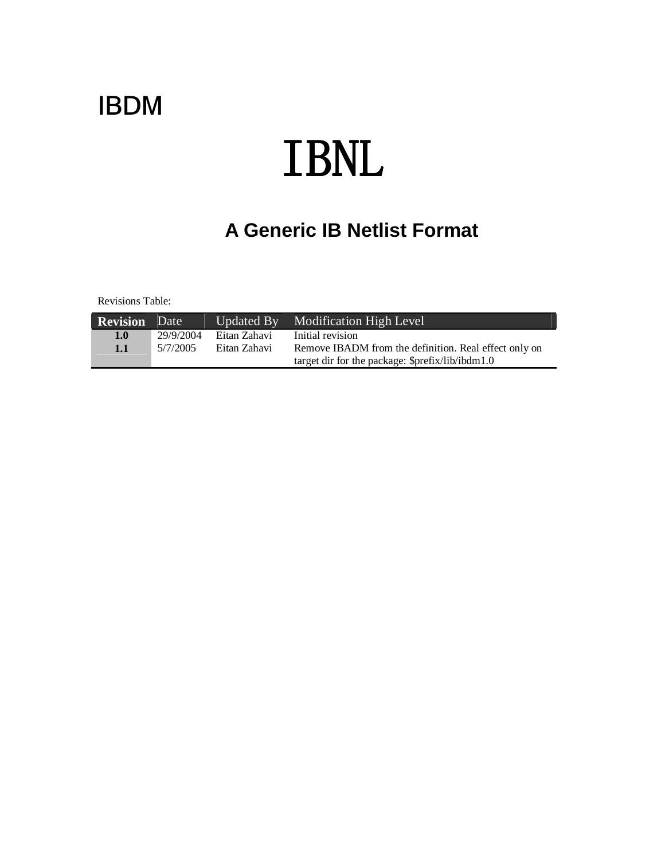# IBDM

# TBNL

# **A Generic IB Netlist Format**

Revisions Table:

| <b>Revision</b> Date |           |              | Updated By Modification High Level                    |
|----------------------|-----------|--------------|-------------------------------------------------------|
| 1.0                  | 29/9/2004 | Eitan Zahavi | Initial revision                                      |
| 1.1                  | 5/7/2005  | Eitan Zahavi | Remove IBADM from the definition. Real effect only on |
|                      |           |              | target dir for the package: \$prefix/lib/ibdm1.0      |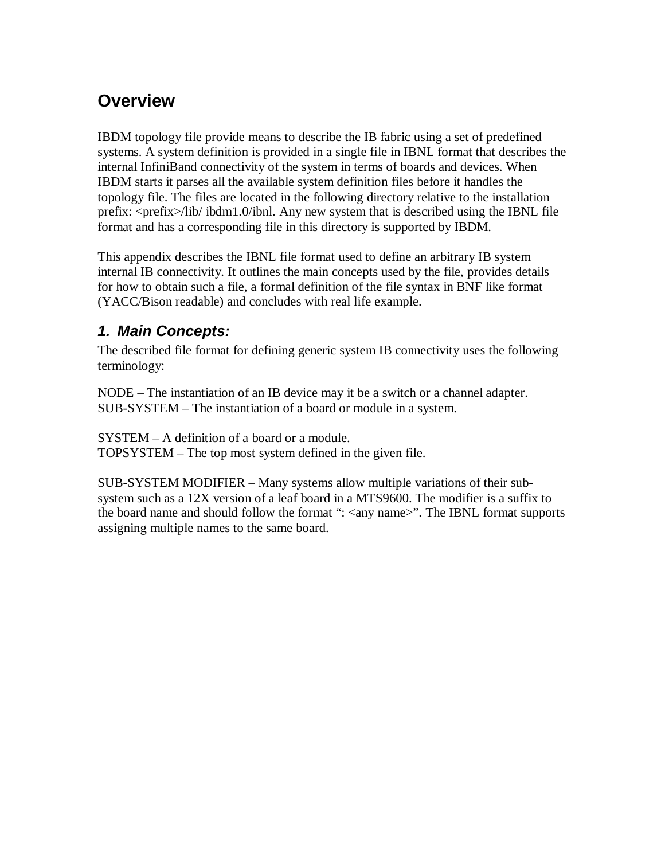# **Overview**

IBDM topology file provide means to describe the IB fabric using a set of predefined systems. A system definition is provided in a single file in IBNL format that describes the internal InfiniBand connectivity of the system in terms of boards and devices. When IBDM starts it parses all the available system definition files before it handles the topology file. The files are located in the following directory relative to the installation prefix: <prefix>/lib/ ibdm1.0/ibnl. Any new system that is described using the IBNL file format and has a corresponding file in this directory is supported by IBDM.

This appendix describes the IBNL file format used to define an arbitrary IB system internal IB connectivity. It outlines the main concepts used by the file, provides details for how to obtain such a file, a formal definition of the file syntax in BNF like format (YACC/Bison readable) and concludes with real life example.

## **1. Main Concepts:**

The described file format for defining generic system IB connectivity uses the following terminology:

NODE – The instantiation of an IB device may it be a switch or a channel adapter. SUB-SYSTEM – The instantiation of a board or module in a system.

SYSTEM – A definition of a board or a module. TOPSYSTEM – The top most system defined in the given file.

SUB-SYSTEM MODIFIER – Many systems allow multiple variations of their subsystem such as a 12X version of a leaf board in a MTS9600. The modifier is a suffix to the board name and should follow the format ": <any name>". The IBNL format supports assigning multiple names to the same board.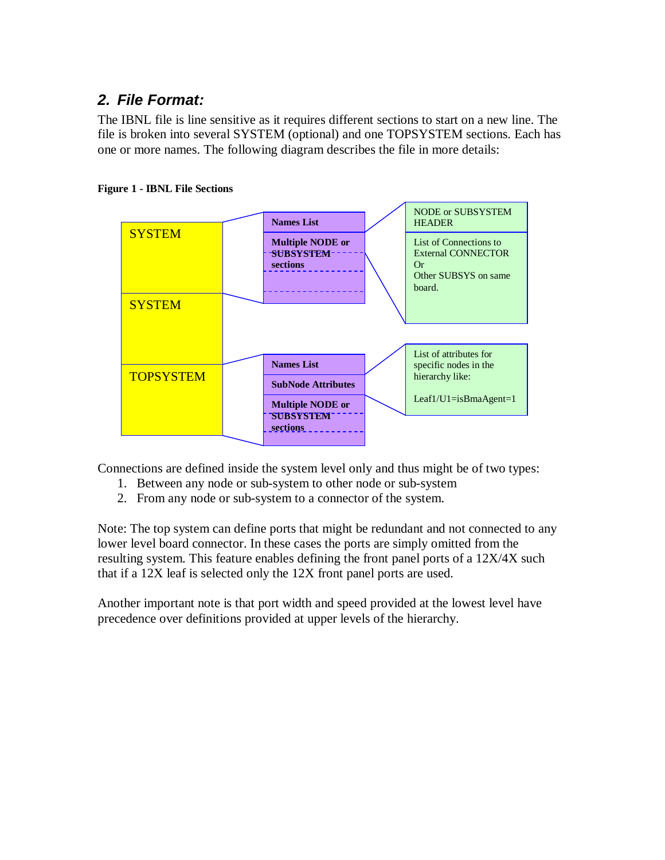## **2. File Format:**

The IBNL file is line sensitive as it requires different sections to start on a new line. The file is broken into several SYSTEM (optional) and one TOPSYSTEM sections. Each has one or more names. The following diagram describes the file in more details:





Connections are defined inside the system level only and thus might be of two types:

- 1. Between any node or sub-system to other node or sub-system
- 2. From any node or sub-system to a connector of the system.

Note: The top system can define ports that might be redundant and not connected to any lower level board connector. In these cases the ports are simply omitted from the resulting system. This feature enables defining the front panel ports of a 12X/4X such that if a 12X leaf is selected only the 12X front panel ports are used.

Another important note is that port width and speed provided at the lowest level have precedence over definitions provided at upper levels of the hierarchy.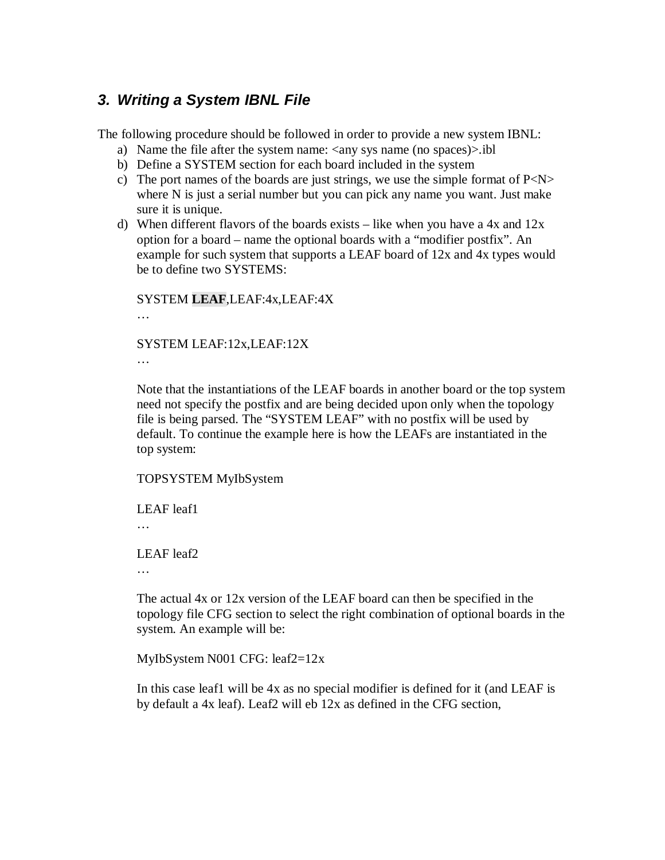### **3. Writing a System IBNL File**

The following procedure should be followed in order to provide a new system IBNL:

- a) Name the file after the system name:  $\langle$ any sys name (no spaces)>.ibl
- b) Define a SYSTEM section for each board included in the system
- c) The port names of the boards are just strings, we use the simple format of  $P < N >$ where N is just a serial number but you can pick any name you want. Just make sure it is unique.
- d) When different flavors of the boards exists like when you have a 4x and  $12x$ option for a board – name the optional boards with a "modifier postfix". An example for such system that supports a LEAF board of 12x and 4x types would be to define two SYSTEMS:

SYSTEM **LEAF**,LEAF:4x,LEAF:4X …

SYSTEM LEAF:12x,LEAF:12X …

Note that the instantiations of the LEAF boards in another board or the top system need not specify the postfix and are being decided upon only when the topology file is being parsed. The "SYSTEM LEAF" with no postfix will be used by default. To continue the example here is how the LEAFs are instantiated in the top system:

TOPSYSTEM MyIbSystem

LEAF leaf1

…

LEAF leaf2

…

The actual 4x or 12x version of the LEAF board can then be specified in the topology file CFG section to select the right combination of optional boards in the system. An example will be:

MyIbSystem N001 CFG: leaf2=12x

In this case leaf1 will be 4x as no special modifier is defined for it (and LEAF is by default a 4x leaf). Leaf2 will eb 12x as defined in the CFG section,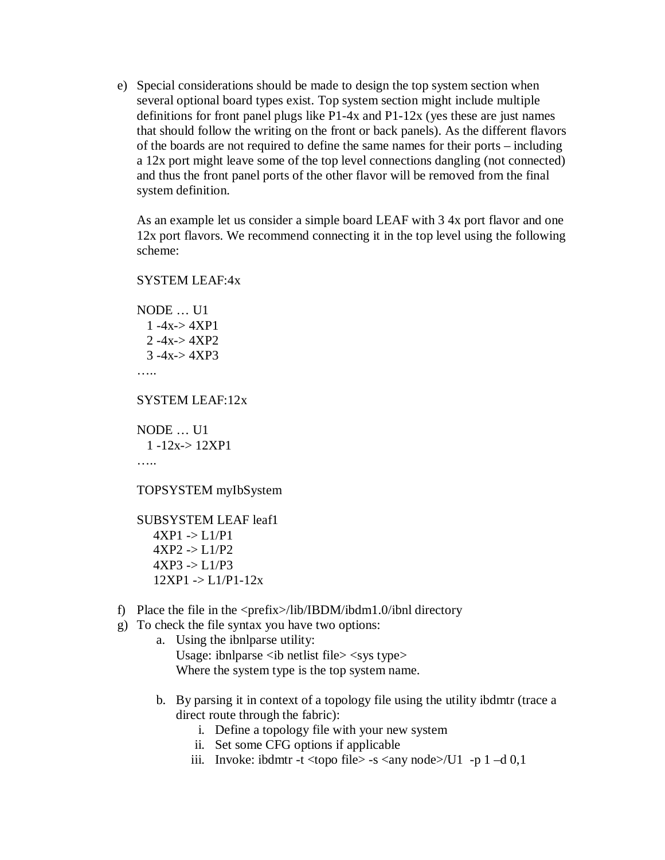e) Special considerations should be made to design the top system section when several optional board types exist. Top system section might include multiple definitions for front panel plugs like P1-4x and P1-12x (yes these are just names that should follow the writing on the front or back panels). As the different flavors of the boards are not required to define the same names for their ports – including a 12x port might leave some of the top level connections dangling (not connected) and thus the front panel ports of the other flavor will be removed from the final system definition.

As an example let us consider a simple board LEAF with 3 4x port flavor and one 12x port flavors. We recommend connecting it in the top level using the following scheme:

```
SYSTEM LEAF:4x
NODE … U1
 1 -4x - 4XP12 -4x-> 4XP2
 3 -4x > 4XP3……
SYSTEM LEAF:12x
NODE … U1
```

```
1 -12x-> 12XP1
……
```
TOPSYSTEM myIbSystem

SUBSYSTEM LEAF leaf1  $4XP1 - D1/P1$  $4XP2$  ->  $L1/P2$  $4XP3 -1.1/P3$  $12XP1 - D1/P1-12x$ 

- f) Place the file in the <prefix>/lib/IBDM/ibdm1.0/ibnl directory
- g) To check the file syntax you have two options:
	- a. Using the ibnlparse utility: Usage: ibnlparse  $\langle$ ib netlist file $>$  $\langle$ sys type $>$ Where the system type is the top system name.
	- b. By parsing it in context of a topology file using the utility ibdmtr (trace a direct route through the fabric):
		- i. Define a topology file with your new system
		- ii. Set some CFG options if applicable
		- iii. Invoke: ibdmtr -t <topo file> -s <any node>/U1 -p 1 -d 0,1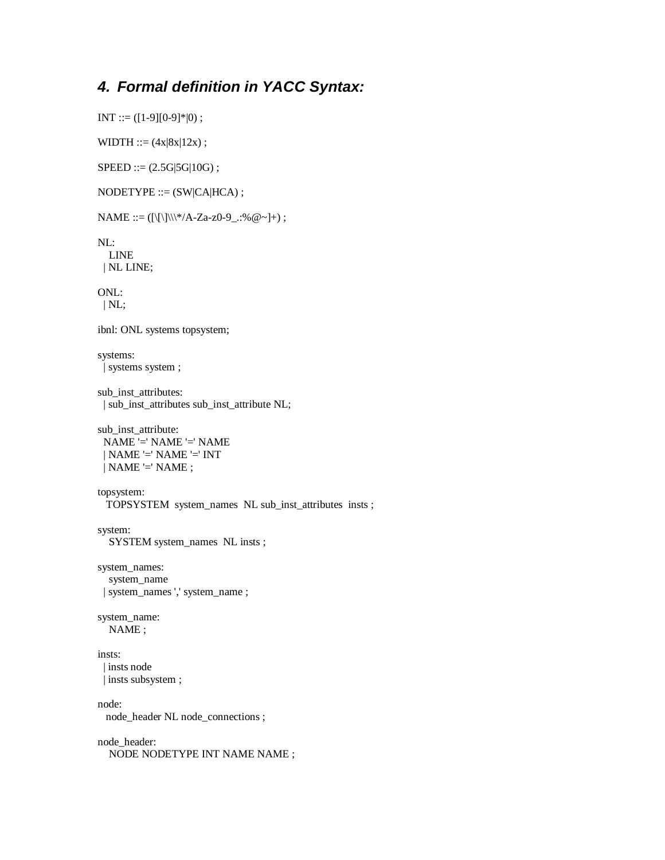### **4. Formal definition in YACC Syntax:**

```
INT ::= ([1-9][0-9]*|0);
```
WIDTH ::=  $(4x|8x|12x)$ ;

 $SPEED ::= (2.5G|5G|10G);$ 

 $NODETYPE ::= (SW| CA| HCA);$ 

 $NAME ::= (|\{\|\}\| \^*/A-Za-z0-9$ .:% @~]+) ;

NL: LINE | NL LINE;

ONL: | NL;

ibnl: ONL systems topsystem;

systems: | systems system ;

```
sub_inst_attributes:
| sub_inst_attributes sub_inst_attribute NL;
```
sub\_inst\_attribute: NAME '=' NAME '=' NAME | NAME '=' NAME '=' INT  $|$  NAME  $=$ ' NAME ;

topsystem: TOPSYSTEM system\_names NL sub\_inst\_attributes insts ;

system: SYSTEM system\_names NL insts ;

system\_names: system\_name | system\_names ',' system\_name ;

```
system_name:
  NAME ;
```
insts: | insts node | insts subsystem ;

node: node\_header NL node\_connections ;

node\_header: NODE NODETYPE INT NAME NAME ;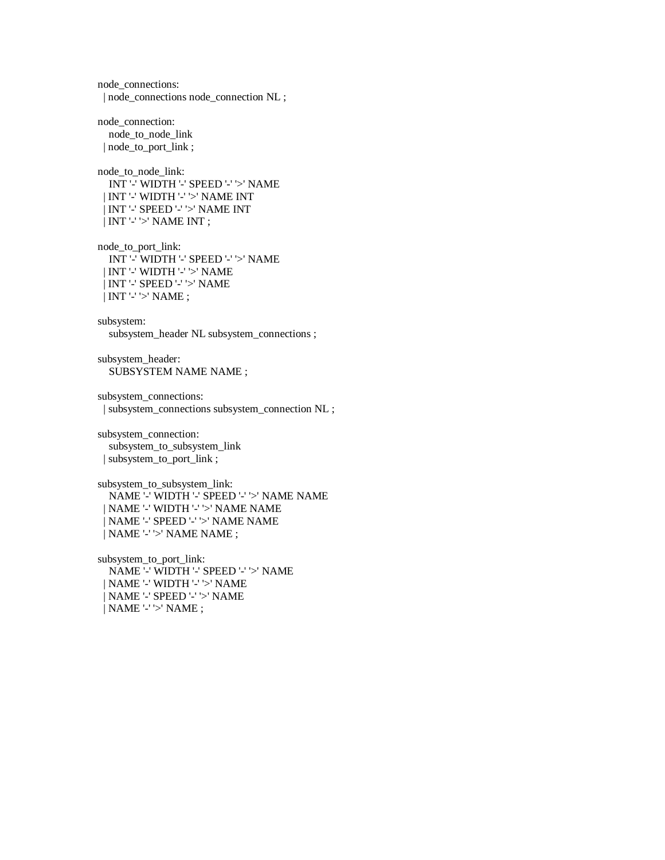node\_connections: | node\_connections node\_connection NL ; node\_connection: node\_to\_node\_link | node\_to\_port\_link ; node\_to\_node\_link: INT '-' WIDTH '-' SPEED '-' '>' NAME | INT '-' WIDTH '-' '>' NAME INT | INT '-' SPEED '-' '>' NAME INT | INT '-' '>' NAME INT ; node\_to\_port\_link: INT '-' WIDTH '-' SPEED '-' '>' NAME | INT '-' WIDTH '-' '>' NAME | INT '-' SPEED '-' '>' NAME | INT '-' '>' NAME ; subsystem: subsystem\_header NL subsystem\_connections ; subsystem\_header: SUBSYSTEM NAME NAME; subsystem\_connections: | subsystem\_connections subsystem\_connection NL ; subsystem\_connection: subsystem\_to\_subsystem\_link | subsystem\_to\_port\_link ; subsystem\_to\_subsystem\_link: NAME '-' WIDTH '-' SPEED '-' '>' NAME NAME | NAME '-' WIDTH '-' '>' NAME NAME | NAME '-' SPEED '-' '>' NAME NAME | NAME '-' '>' NAME NAME ; subsystem\_to\_port\_link: NAME '-' WIDTH '-' SPEED '-' '>' NAME | NAME '-' WIDTH '-' '>' NAME | NAME '-' SPEED '-' '>' NAME | NAME '-' '>' NAME ;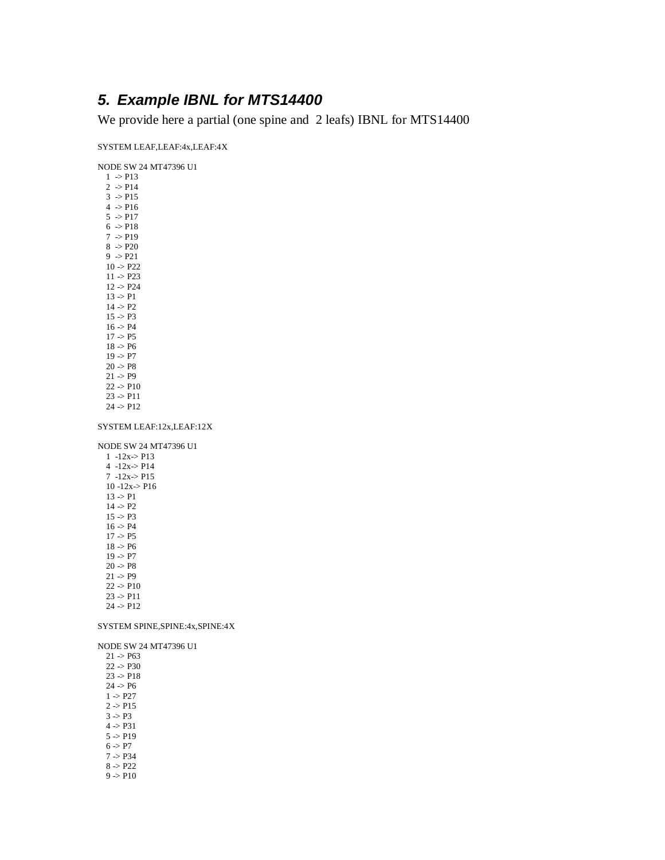### **5. Example IBNL for MTS14400**

We provide here a partial (one spine and 2 leafs) IBNL for MTS14400

SYSTEM LEAF,LEAF:4x,LEAF:4X

NODE SW 24 MT47396 U1

| 1<br>$\rightarrow$ P13              |
|-------------------------------------|
| $\overline{2}$<br>$\Rightarrow$ P14 |
| $3 \rightarrow P15$                 |
| 4 -> P16                            |
| 5 > P17                             |
| 6 > P18                             |
| 7 > P19                             |
| $8 \rightarrow P20$                 |
| $9 \Rightarrow P21$                 |
| $10 \rightarrow P22$                |
| 11 > P23                            |
| 12 > P24                            |
| 13 > P1                             |
| 14 > P2                             |
| 15 > P3                             |
| 16 > P4                             |
| 17 > P5                             |
| 18 > P6                             |
| 19 > P7                             |
| 20 > P8                             |
| $21 \Rightarrow P9$                 |
| 22 -> P10                           |
| 23 -> P11                           |
| 24 -> P12                           |

SYSTEM LEAF:12x,LEAF:12X

NODE SW 24 MT47396 U1

1 -12x-> P13 4 -12x-> P14 7 -12x-> P15 10 -12x-> P16  $13 > P1$  $14 > P2$  $15 > P3$  $16 > P4$  $17 > P5$  $18 > P6$  $19 \div P7$  $20 \rightarrow P8$  $21 \Rightarrow P9$  $22 > P10$  $23 \rightarrow P11$  $24$  ->  $P12$ 

### SYSTEM SPINE,SPINE:4x,SPINE:4X

NODE SW 24 MT47396 U1

 $21 > P63$ 22 -> P30  $23 > P18$  $24 > P6$  $1 > P27$  $2 > P15$  $3 > P3$  $4 > P31$  $5 > P19$  $6 > P7$  $7 > P34$ 8 -> P22  $9 \ensuremath{\; >}\xspace \ensuremath{\mathsf{P}}\xspace 10$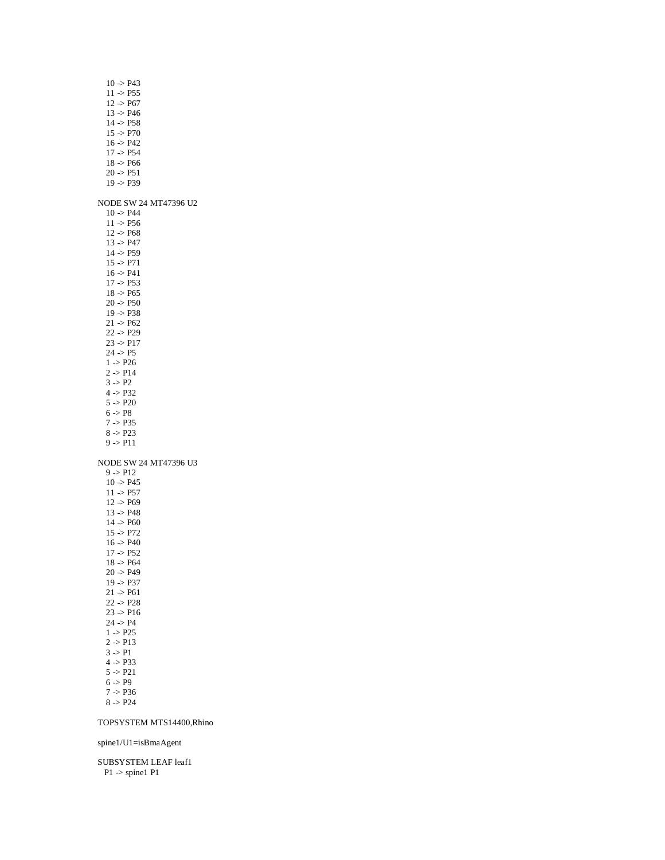| $10 - P43$<br>$11 - P55$<br>12 > P67<br>$13 - P46$<br>$14 - P58$<br>15 > P70<br>16 > P42<br>$17 - P54$<br>18 -> P66<br>$20 \div P51$<br>19 -> P39                                                                                                                                                                                                    |  |
|------------------------------------------------------------------------------------------------------------------------------------------------------------------------------------------------------------------------------------------------------------------------------------------------------------------------------------------------------|--|
| NODE SW 24 MT47396 U2<br>$10 - P44$<br>$11 - P56$<br>$12 - P68$<br>13 > P47<br>14 > P59<br>15 > P71<br>16 > P41<br>17 > P53<br>18 > P65<br>20 -> P50<br>19 -> P38<br>21 > P62<br>22 -> P29<br>23 -> P17<br>24 > P5<br>$1 - P26$<br>2 -> P14<br>$3 \rightarrow P2$<br>4 > P32<br>5 > P20<br>6 > P8<br>7 -> P35<br>8 > P23<br>9 -> P11                 |  |
| NODE SW 24 MT47396 U3<br>9 -> P12<br>$10 - P45$<br>11 -> P57<br>$12 - P69$<br>$13 - P48$<br>14 > P60<br>15 > P72<br>16 > P40<br>$17 - P52$<br>18 -> P64<br>20 > P49<br>$19 - P37$<br>21 -> P61<br>22 -> P28<br>23 -> P16<br>24 > P4<br>$1 - P25$<br>2 -> P13<br>$3 \rightarrow P1$<br>4 > P33<br>5 > P21<br>$6 \rightarrow P9$<br>7 > P36<br>8 > P24 |  |

### TOPSYSTEM MTS14400,Rhino

spine1/U1=isBmaAgent

SUBSYSTEM LEAF leaf1  $P1$  -> spine1  $P1$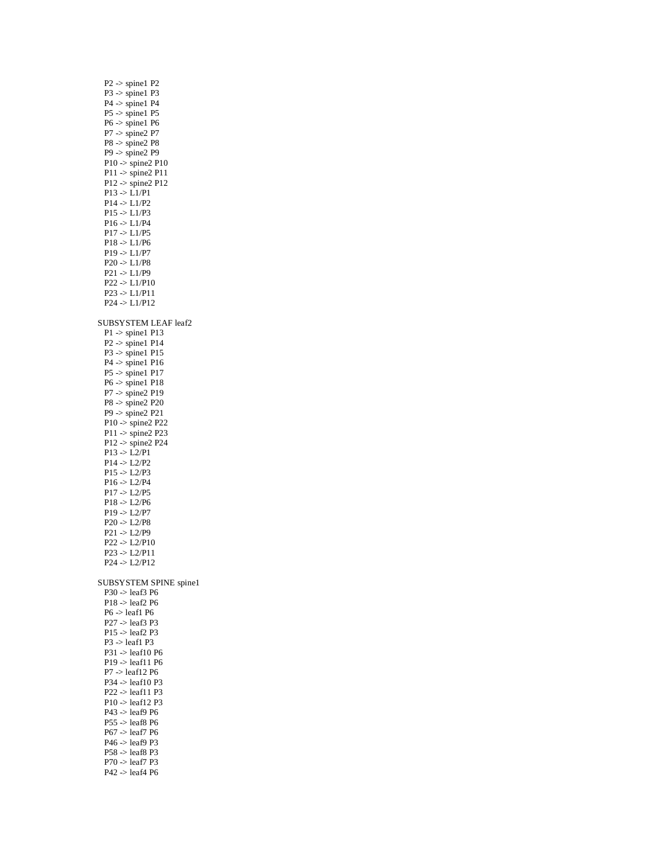| $P2$ -> spine1 $P2$                           |
|-----------------------------------------------|
| $P3 \gg$ spinel P3                            |
| $P4$ -> spine1 $P4$                           |
| $P5 \gg$ spinel $P5$                          |
| $P6 \gg$ spinel P6                            |
| $P7$ -> spine2 $P7$                           |
| $P8 \gg$ spine2 $P8$<br>$P9$ -> spine2 $P9$   |
| $P10 \rightarrow$ spine2 $P10$                |
| $P11$ -> spine2 $P11$                         |
| $P12 \rightarrow$ spine2 $P12$                |
| $P13$ -> $L1/P1$                              |
| $P14$ -> $L1/P2$                              |
| $P15 \Rightarrow L1/P3$                       |
| P16 > L1/P4                                   |
| $P17 - D1/P5$                                 |
| $P18 - D1/P6$                                 |
| $P19 \rightarrow L1/P7$                       |
| $P20 \rightarrow L1/P8$                       |
| P21 > L1/P9                                   |
| $P22 \rightarrow L1/P10$                      |
| P23 > L1/P11                                  |
| $P24$ -> $L1/P12$                             |
|                                               |
| SUBSYSTEM LEAF leaf2                          |
| $P1$ -> spine1 $P13$                          |
| $P2 \gg$ spinel P14                           |
| $P3 \gg$ spinel $P15$                         |
| $P4 \gg$ spinel P16                           |
| $P5 \rightarrow$ spinel $P17$                 |
| $P6 \gg$ spinel $P18$<br>$P7$ -> spine2 $P19$ |
| $P8 \gg$ spine2 $P20$                         |
| $P9 \rightarrow$ spine2 $P21$                 |
| $P10 \rightarrow$ spine2 $P22$                |
| $P11$ -> spine2 $P23$                         |
| $P12 \rightarrow$ spine2 $P24$                |
| $P13 - D2/P1$                                 |
| $P14 - D12/P2$                                |
| $P15$ -> $L2/P3$                              |
| P16 > L2/P4                                   |
| $P17 - D2/P5$                                 |
| $P18 - D2/P6$                                 |
| $P19 - D2/P7$                                 |
| $P20 \rightarrow L2/P8$                       |
| $P21 - D12/P9$                                |
| $P22 \Rightarrow L2/P10$                      |
| $P23$ -> $L2/P11$                             |
| $P24 - D2/P12$                                |
|                                               |
| SUBSYSTEM SPINE spine1                        |
| $P30 \rightarrow$ leaf3 P6                    |
| $P18$ -> leaf2 $P6$<br>P6 -> leaf1 P6         |
| $P27$ -> leaf3 $P3$                           |
| $P15$ $\rightarrow$ leaf2 $P3$                |
| $P3$ -> leaf1 $P3$                            |
| $P31$ -> leaf10 P6                            |
| $P19$ -> leaf11 $P6$                          |
| $P7$ -> leaf12 $P6$                           |
| $P34 \rightarrow$ leaf10 P3                   |
|                                               |
| $P22$ $>$ leaf11 $P3$                         |
| $P10 \rightarrow$ leaf12 P3                   |
| $P43$ -> leaf9 P6                             |
| $P55$ $\rightarrow$ leaf8 P6                  |
| $P67$ -> leaf7 $P6$                           |
| $P46$ -> leaf9 $P3$                           |
| $P58$ -> leaf8 P3<br>P70 -> leaf7 P3          |

P42 -> leaf4 P6